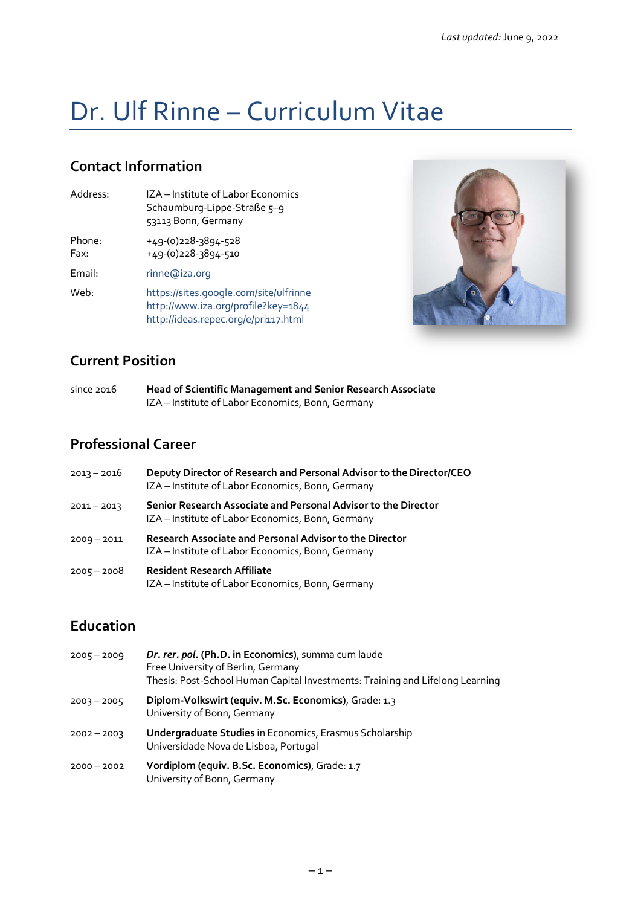# Dr. Ulf Rinne – Curriculum Vitae

## **Contact Information**

Address: IZA – Institute of Labor Economics Schaumburg-Lippe-Straße 5-9 53113 Bonn, Germany Phone: +49-(0)228-3894-528

Fax: +49-(0)228-3894-510

Email: [rinne@iza.org](mailto:rinne@iza.org)

Web: <https://sites.google.com/site/ulfrinne> <http://www.iza.org/profile?key=1844> <http://ideas.repec.org/e/pri117.html>



## **Current Position**

| since $2016$ | <b>Head of Scientific Management and Senior Research Associate</b> |
|--------------|--------------------------------------------------------------------|
|              | IZA - Institute of Labor Economics, Bonn, Germany                  |

## **Professional Career**

| $2013 - 2016$ | Deputy Director of Research and Personal Advisor to the Director/CEO<br>IZA - Institute of Labor Economics, Bonn, Germany |
|---------------|---------------------------------------------------------------------------------------------------------------------------|
| $2011 - 2013$ | Senior Research Associate and Personal Advisor to the Director<br>IZA - Institute of Labor Economics, Bonn, Germany       |
| $2009 - 2011$ | Research Associate and Personal Advisor to the Director<br>IZA - Institute of Labor Economics, Bonn, Germany              |
| $2005 - 2008$ | <b>Resident Research Affiliate</b><br>IZA - Institute of Labor Economics, Bonn, Germany                                   |

## **Education**

| $2005 - 2009$ | Dr. rer. pol. (Ph.D. in Economics), summa cum laude<br>Free University of Berlin, Germany<br>Thesis: Post-School Human Capital Investments: Training and Lifelong Learning |
|---------------|----------------------------------------------------------------------------------------------------------------------------------------------------------------------------|
| $2003 - 2005$ | Diplom-Volkswirt (equiv. M.Sc. Economics), Grade: 1.3<br>University of Bonn, Germany                                                                                       |
| $2002 - 2003$ | <b>Undergraduate Studies</b> in Economics, Erasmus Scholarship<br>Universidade Nova de Lisboa, Portugal                                                                    |
| $2000 - 2002$ | Vordiplom (equiv. B.Sc. Economics), Grade: 1.7<br>University of Bonn, Germany                                                                                              |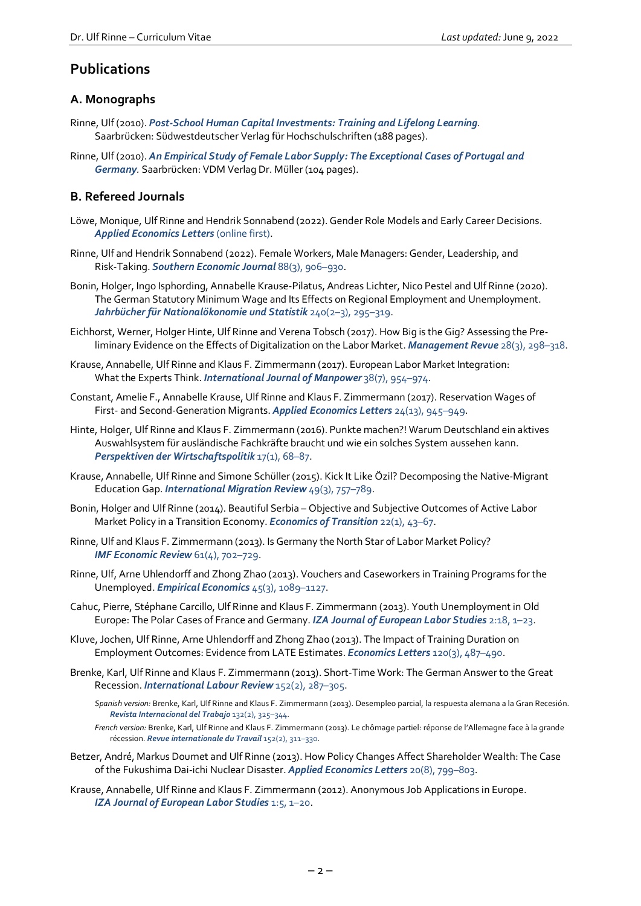### **Publications**

#### **A. Monographs**

- Rinne, Ulf (2010). *[Post-School Human Capital Investments: Training and Lifelong Learning](http://www.amazon.com/Post-School-Human-Capital-Investments-Training/dp/3838120825/ref=sr_1_2?ie=UTF8&qid=1287654881&sr=8-2).* Saarbrücken: Südwestdeutscher Verlag für Hochschulschriften (188 pages).
- Rinne, Ulf (2010). *[An Empirical Study of Female Labor Supply: The Exceptional Cases of Portugal and](http://www.amazon.com/Empirical-Study-Female-Labor-Supply/dp/3639227344/ref=sr_1_1?ie=UTF8&qid=1287654881&sr=8-1)  [Germany](http://www.amazon.com/Empirical-Study-Female-Labor-Supply/dp/3639227344/ref=sr_1_1?ie=UTF8&qid=1287654881&sr=8-1).* Saarbrücken: VDM Verlag Dr. Müller (104 pages).

#### **B. Refereed Journals**

- Löwe, Monique, Ulf Rinne and Hendrik Sonnabend (2022). Gender Role Models and Early Career Decisions. *[Applied Economics Letters](https://doi.org/10.1080/13504851.2022.2066618)* (online first).
- Rinne, Ulf and Hendrik Sonnabend (2022). Female Workers, Male Managers: Gender, Leadership, and Risk-Taking. *[Southern Economic Journal](https://doi.org/10.1002/soej.12545)* 88(3), 906–930.
- Bonin, Holger, Ingo Isphording, Annabelle Krause-Pilatus, Andreas Lichter, Nico Pestel and Ulf Rinne (2020). The German Statutory Minimum Wage and Its Effects on Regional Employment and Unemployment. *[Jahrbücher für Nationalökonomie und Statistik](https://doi.org/10.1515/jbnst-2018-0067)* 240(2–3), 295–319.
- Eichhorst, Werner, Holger Hinte, Ulf Rinne and Verena Tobsch (2017). How Big is the Gig? Assessing the Preliminary Evidence on the Effects of Digitalization on the Labor Market. *[Management Revue](https://doi.org/10.5771/0935-9915-2017-3-298)* 28(3), 298–318.
- Krause, Annabelle, Ulf Rinne and Klaus F. Zimmermann (2017). European Labor Market Integration: What the Experts Think. *[International Journal of Manpower](https://doi.org/10.1108/IJM-05-2017-0101)* 38(7), 954–974.
- Constant, Amelie F., Annabelle Krause, Ulf Rinne and Klaus F. Zimmermann (2017). Reservation Wages of First- and Second-Generation Migrants. *[Applied Economics Letters](http://dx.doi.org/10.1080/13504851.2016.1243203)* 24(13), 945–949.
- Hinte, Holger, Ulf Rinne and Klaus F. Zimmermann (2016). Punkte machen?! Warum Deutschland ein aktives Auswahlsystem für ausländische Fachkräfte braucht und wie ein solches System aussehen kann. *[Perspektiven der Wirtschaftspolitik](http://dx.doi.org/10.1515/pwp-2016-0005)* 17(1), 68–87.
- Krause, Annabelle, Ulf Rinne and Simone Schüller (2015). Kick It Like Özil? Decomposing the Native-Migrant Education Gap. *[International Migration Review](http://onlinelibrary.wiley.com/doi/10.1111/imre.12107/abstract)* 49(3), 757–789.
- Bonin, Holger and Ulf Rinne (2014). Beautiful Serbia Objective and Subjective Outcomes of Active Labor Market Policy in a Transition Economy. *Economics [of Transition](http://dx.doi.org/10.1111/ecot.12028)* 22(1), 43–67.
- Rinne, Ulf and Klaus F. Zimmermann (2013). Is Germany the North Star of Labor Market Policy? **IMF [Economic Review](http://dx.doi.org/10.1057/imfer.2013.21)** 61(4), 702-729.
- Rinne, Ulf, Arne Uhlendorff and Zhong Zhao (2013). Vouchers and Caseworkers in Training Programs for the Unemployed. *[Empirical Economics](http://dx.doi.org/10.1007/s00181-012-0662-5)* 45(3), 1089–1127.
- Cahuc, Pierre, Stéphane Carcillo, Ulf Rinne and Klaus F. Zimmermann (2013). Youth Unemployment in Old Europe: The Polar Cases of France and Germany. *IZA [Journal of European Labor Studies](http://www.izajoels.com/content/2/1/18)* 2:18, 1–23.
- Kluve, Jochen, Ulf Rinne, Arne Uhlendorff and Zhong Zhao (2013). The Impact of Training Duration on Employment Outcomes: Evidence from LATE Estimates. *[Economics Letters](http://dx.doi.org/10.1016/j.econlet.2013.06.002)* 120(3), 487–490.
- Brenke, Karl, Ulf Rinne and Klaus F. Zimmermann (2013). Short-Time Work: The German Answer to the Great Recession. *[International Labour Review](http://dx.doi.org/10.1111/j.1564-913X.2013.00181.x)* 152(2), 287–305.
	- *Spanish version:* Brenke, Karl, Ulf Rinne and Klaus F. Zimmermann (2013). Desempleo parcial, la respuesta alemana a la Gran Recesión. *[Revista Internacional del Trabajo](http://dx.doi.org/10.1111/j.1564-9148.2013.00183.x)* 132(2), 325–344.
	- *French version:* Brenke, Karl, Ulf Rinne and Klaus F. Zimmermann (2013). Le chômage partiel: réponse de l'Allemagne face à la grande récession. *[Revue internationale du Travail](http://dx.doi.org/10.1111/j.1564-9121.2013.00183.x)* 152(2), 311–330.
- Betzer, André, Markus Doumet and Ulf Rinne (2013). How Policy Changes Affect Shareholder Wealth: The Case of the Fukushima Dai-ichi Nuclear Disaster. *[Applied Economics Letters](http://dx.doi.org/10.1080/13504851.2012.748172)* 20(8), 799–803.
- Krause, Annabelle, Ulf Rinne and Klaus F. Zimmermann (2012). Anonymous Job Applications in Europe. *[IZA Journal of European Labor Studies](http://dx.doi.org/10.1186/2193-9012-1-5)* 1:5, 1–20.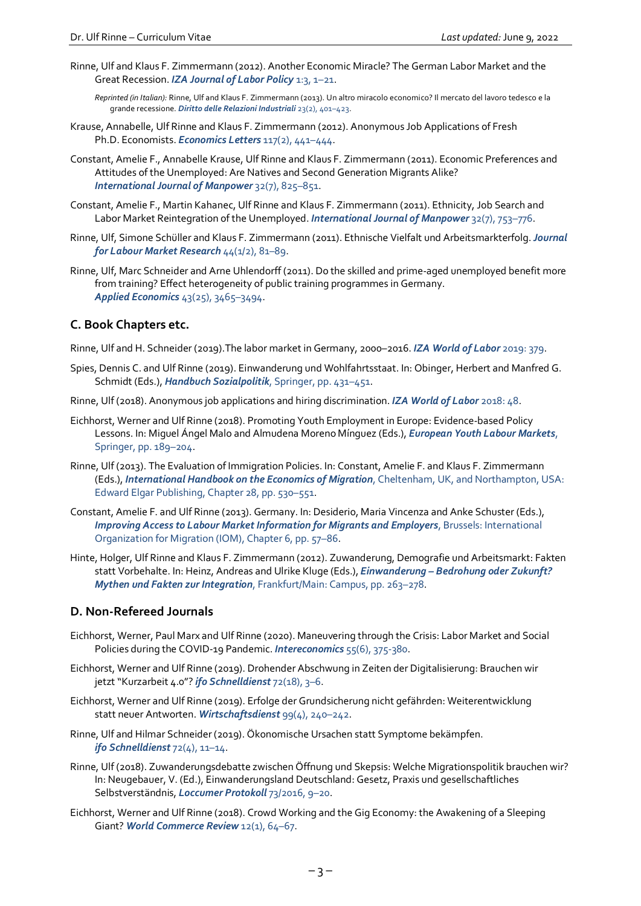Rinne, Ulf and Klaus F. Zimmermann (2012). Another Economic Miracle? The German Labor Market and the Great Recession. *[IZA Journal of Labor Policy](http://dx.doi.org/10.1186/2193-9004-1-3)* 1:3, 1–21.

*Reprinted (in Italian):* Rinne, Ulf and Klaus F. Zimmermann (2013). Un altro miracolo economico? Il mercato del lavoro tedesco e la grande recessione. *[Diritto delle Relazioni Industriali](http://www.bollettinoadapt.it/wp-content/uploads/2014/09/dri_2013_2_rinne-zimmermann.pdf)* 23(2), 401–423.

- Krause, Annabelle, Ulf Rinne and Klaus F. Zimmermann (2012). Anonymous Job Applications of Fresh Ph.D. Economists. *[Economics Letters](http://dx.doi.org/10.1016/j.econlet.2012.06.029)* 117(2), 441–444.
- Constant, Amelie F., Annabelle Krause, Ulf Rinne and Klaus F. Zimmermann (2011). Economic Preferences and Attitudes of the Unemployed: Are Natives and Second Generation Migrants Alike? *[International Journal of Manpower](http://dx.doi.org/10.1108/01437721111174776)* 32(7), 825–851.
- Constant, Amelie F., Martin Kahanec, Ulf Rinne and Klaus F. Zimmermann (2011). Ethnicity, Job Search and Labor Market Reintegration of the Unemployed. *[International Journal of Manpower](http://dx.doi.org/10.1108/01437721111174749)* 32(7), 753–776.
- Rinne, Ulf, Simone Schüller and Klaus F. Zimmermann (2011). Ethnische Vielfalt und Arbeitsmarkterfolg.*[Journal](http://dx.doi.org/10.1007/s12651-011-0062-x)  [for Labour Market Research](http://dx.doi.org/10.1007/s12651-011-0062-x)* 44(1/2), 81–89.
- Rinne, Ulf, Marc Schneider and Arne Uhlendorff (2011). Do the skilled and prime-aged unemployed benefit more from training? Effect heterogeneity of public training programmes in Germany. *[Applied Economics](http://dx.doi.org/10.1080/00036841003670697)* 43(25), 3465–3494.

#### **C. Book Chapters etc.**

Rinne, Ulf and H. Schneider (2019).The labor market in Germany, 2000–2016. *[IZA World of Labor](https://wol.iza.org/articles/the-labor-market-in-germany)* 2019: 379.

- Spies, Dennis C. and Ulf Rinne (2019). Einwanderung und Wohlfahrtsstaat. In: Obinger, Herbert and Manfred G. Schmidt (Eds.), *[Handbuch Sozialpolitik](https://link.springer.com/chapter/10.1007/978-3-658-22803-3_22)*, Springer, pp. 431–451.
- Rinne, Ulf (2018). Anonymous job applications and hiring discrimination. *[IZA World of Labor](http://wol.iza.org/articles/anonymous-job-applications-and-hiring-discrimination)* 2018: 48.
- Eichhorst, Werner and Ulf Rinne (2018). Promoting Youth Employment in Europe: Evidence-based Policy Lessons. In: Miguel Ángel Malo and Almudena Moreno Mínguez (Eds.), *[European Youth Labour Markets](https://link.springer.com/chapter/10.1007/978-3-319-68222-8_13)*, [Springer, pp. 189–204.](https://link.springer.com/chapter/10.1007/978-3-319-68222-8_13)
- Rinne, Ulf (2013). The Evaluation of Immigration Policies. In: Constant, Amelie F. and Klaus F. Zimmermann (Eds.), *[International Handbook on the Economics of Migration](https://ideas.repec.org/h/elg/eechap/4026_28.html)*, Cheltenham, UK, and Northampton, USA: [Edward Elgar Publishing, Chapter 28, pp. 530–551.](https://ideas.repec.org/h/elg/eechap/4026_28.html)
- Constant, Amelie F. and Ulf Rinne (2013). Germany. In: Desiderio, Maria Vincenza and Anke Schuster (Eds.), *[Improving Access to Labour Market Information for Migrants and Employers](https://publications.iom.int/books/improving-access-labour-market-information-migrants-and-employers)*, Brussels: International [Organization for Migration \(IOM\), Chapter 6, pp. 57–86.](https://publications.iom.int/books/improving-access-labour-market-information-migrants-and-employers)
- Hinte, Holger, Ulf Rinne and Klaus F. Zimmermann (2012). Zuwanderung, Demografie und Arbeitsmarkt: Fakten statt Vorbehalte. In: Heinz, Andreas and Ulrike Kluge (Eds.), *Einwanderung – [Bedrohung oder Zukunft?](https://www.campus.de/buecher-campus-verlag/wissenschaft/politikwissenschaft/einwanderung_bedrohung_oder_zukunft-4269.html)  Mythen und Fakten zur Integration*[, Frankfurt/Main: Campus, pp. 263–278.](https://www.campus.de/buecher-campus-verlag/wissenschaft/politikwissenschaft/einwanderung_bedrohung_oder_zukunft-4269.html)

#### **D. Non-Refereed Journals**

- Eichhorst, Werner, Paul Marx and Ulf Rinne (2020). Maneuvering through the Crisis: Labor Market and Social Policies during the COVID-19 Pandemic. *[Intereconomics](https://www.intereconomics.eu/contents/year/2020/number/6/article/manoeuvring-through-the-crisis-labour-market-and-social-policies-during-the-covid-19-pandemic.html)* 55(6), 375-380.
- Eichhorst, Werner and Ulf Rinne (2019). Drohender Abschwung in Zeiten der Digitalisierung: Brauchen wir jetzt "Kurzarbeit 4.0"? *[ifo Schnelldienst](http://www.ifo.de/DocDL/sd-2019-18-eichhorst-rinne-konjunkturelle-eintruebung-2019-09-26.pdf)* 72(18), 3–6.
- Eichhorst, Werner and Ulf Rinne (2019). Erfolge der Grundsicherung nicht gefährden: Weiterentwicklung statt neuer Antworten. *[Wirtschaftsdienst](https://blog.zeit.de/herdentrieb/files/2019/04/wirtschaftsdienst_4-2019_HartzIV-Reform-einer-umstrittenen-politischen-Ma%C3%9Fnahme.pdf)* 99(4), 240–242.
- Rinne, Ulf and Hilmar Schneider (2019). Ökonomische Ursachen statt Symptome bekämpfen. *ifo [Schnelldienst](https://www.cesifo-group.de/DocDL/sd-2019-04-peichl-schricker-etal-entgelttransparenzgesetz-2019-02-21.pdf)* 72(4), 11–14.
- Rinne, Ulf (2018). Zuwanderungsdebatte zwischen Öffnung und Skepsis: Welche Migrationspolitik brauchen wir? In: Neugebauer, V. (Ed.), Einwanderungsland Deutschland: Gesetz, Praxis und gesellschaftliches Selbstverständnis, *[Loccumer Protokoll](https://www.loccum.de/publikationen/9783817273164/)* 73/2016, 9–20.
- Eichhorst, Werner and Ulf Rinne (2018). Crowd Working and the Gig Economy: the Awakening of a Sleeping Giant? [World Commerce Review](http://www.worldcommercereview.com/publications/article_pdf/1380) 12(1), 64-67.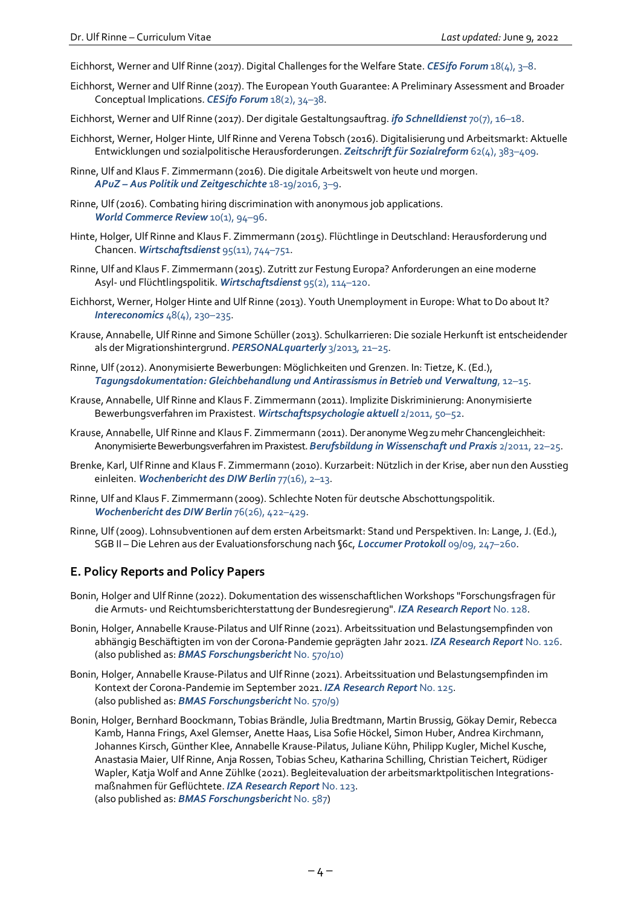- Eichhorst, Werner and Ulf Rinne (2017). Digital Challenges for the Welfare State. *[CESifo Forum](http://www.cesifo-group.de/DocDL/CESifo-forum-2017-4-eichhorst-rinne-digitalisation-welfare-state-december.pdf)* 18(4), 3–8.
- Eichhorst, Werner and Ulf Rinne (2017). The European Youth Guarantee: A Preliminary Assessment and Broader Conceptual Implications. *[CESifo Forum](http://www.cesifo-group.de/DocDL/CESifo-Forum-2017-2-eichhorst-rinne-youth-unemployment-june.pdf)* 18(2), 34–38.
- Eichhorst, Werner and Ulf Rinne (2017). Der digitale Gestaltungsauftrag. *[ifo Schnelldienst](http://www.cesifo-group.de/DocDL/sd-2017-07-stettes-etal-digitalisierung-2017-04-13.pdf)* 70(7), 16–18.
- Eichhorst, Werner, Holger Hinte, Ulf Rinne and Verena Tobsch (2016). Digitalisierung und Arbeitsmarkt: Aktuelle Entwicklungen und sozialpolitische Herausforderungen. *[Zeitschrift für Sozialreform](https://doi.org/10.1515/zsr-2016-0019)* 62(4), 383–409.
- Rinne, Ulf and Klaus F. Zimmermann (2016). Die digitale Arbeitswelt von heute und morgen. *APuZ – [Aus Politik und Zeitgeschichte](http://www.bpb.de/shop/zeitschriften/apuz/225700/arbeit-und-digitalisierung)* 18-19/2016, 3–9.
- Rinne, Ulf (2016). Combating hiring discrimination with anonymous job applications. *[World Commerce Review](https://www.worldcommercereview.com/feeds/show/WCRVol10Issue1)* 10(1), 94–96.
- Hinte, Holger, Ulf Rinne and Klaus F. Zimmermann (2015). Flüchtlinge in Deutschland: Herausforderung und Chancen. *[Wirtschaftsdienst](http://blog.zeit.de/herdentrieb/files/2015/11/wirtschaftsdienst_11-2015_Hinte_et_al_Fluechtlinge_Herausforderungen_und_Chancen.pdf)* 95(11), 744–751.
- Rinne, Ulf and Klaus F. Zimmermann (2015). Zutritt zur Festung Europa? Anforderungen an eine moderne Asyl- und Flüchtlingspolitik. *[Wirtschaftsdienst](https://www.wirtschaftsdienst.eu/inhalt/jahr/2015/heft/2/beitrag/zutritt-zur-festung-europa-anforderungen-an-eine-moderne-asyl-und-fluechtlingspolitik.html)* 95(2), 114–120.
- Eichhorst, Werner, Holger Hinte and Ulf Rinne (2013). Youth Unemployment in Europe: What to Do about It? *[Intereconomics](https://www.intereconomics.eu/contents/year/2013/number/4/article/youth-unemployment.html)* 48(4), 230–235.
- Krause, Annabelle, Ulf Rinne and Simone Schüller (2013). Schulkarrieren: Die soziale Herkunft ist entscheidender als der Migrationshintergrund. *[PERSONALquarterly](https://www.haufe.de/personal/zeitschrift/personalquarterly/personal-quarterly-ausgabe-32013-personalquarterly_48_184348.html)* 3/2013, 21–25.
- Rinne, Ulf (2012). Anonymisierte Bewerbungen: Möglichkeiten und Grenzen. In: Tietze, K. (Ed.), *[Tagungsdokumentation: Gleichbehandlung und Antirassismus in Betrieb und Verwaltung](https://www.gelbehand.de/fileadmin/user_upload/download/bildungsmaterial/Gleichbehandlung_und_Antirassismus.pdf)*, 12–15.
- Krause, Annabelle, Ulf Rinne and Klaus F. Zimmermann (2011). Implizite Diskriminierung: Anonymisierte Bewerbungsverfahren im Praxistest. *[Wirtschaftspsychologie aktuell](http://www.wirtschaftspsychologie-aktuell.de/ausgabe-2011-2-wettbewerb-um-talente.html)* 2/2011, 50–52.
- Krause, Annabelle, Ulf Rinne and Klaus F. Zimmermann (2011). Der anonymeWeg zu mehr Chancengleichheit: Anonymisierte Bewerbungsverfahren im Praxistest. *[Berufsbildung in Wissenschaft und Praxis](http://www.bibb.de/veroeffentlichungen/de/bwp/show/id/6638)* 2/2011, 22–25.
- Brenke, Karl, Ulf Rinne and Klaus F. Zimmermann (2010). Kurzarbeit: Nützlich in der Krise, aber nun den Ausstieg einleiten. *[Wochenbericht des DIW Berlin](https://www.diw.de/de/diw_01.c.454455.de/publikationen/wochenberichte/2010_16_1/kurzarbeit__nuetzlich_in_der_krise__aber_nun_den_ausstieg_einleiten.html)* 77(16), 2–13.
- Rinne, Ulf and Klaus F. Zimmermann (2009). Schlechte Noten für deutsche Abschottungspolitik. *[Wochenbericht des DIW Berlin](https://www.diw.de/documents/publikationen/73/diw_01.c.99629.de/09-26-1.pdf)* 76(26), 422–429.
- Rinne, Ulf (2009). Lohnsubventionen auf dem ersten Arbeitsmarkt: Stand und Perspektiven. In: Lange, J. (Ed.), SGB II – Die Lehren aus der Evaluationsforschung nach §6c, *[Loccumer Protokoll](http://www.loccum.de/protokoll/inhalt/inh0909.html)* 09/09, 247–260.

#### **E. Policy Reports and Policy Papers**

- Bonin, Holger and Ulf Rinne (2022). Dokumentation des wissenschaftlichen Workshops "Forschungsfragen für die Armuts- und Reichtumsberichterstattung der Bundesregierung". *[IZA Research Report](https://ftp.iza.org/report_pdfs/iza_report_128.pdf)* No. 128.
- Bonin, Holger, Annabelle Krause-Pilatus and Ulf Rinne (2021). Arbeitssituation und Belastungsempfinden von abhängig Beschäftigten im von der Corona-Pandemie geprägten Jahr 2021. *[IZA Research Report](http://ftp.iza.org/report_pdfs/iza_report_126.pdf)* No. 126. (also published as: *[BMAS Forschungsbericht](https://www.bmas.de/SharedDocs/Downloads/DE/Publikationen/Forschungsberichte/fb-570-10-arbeitssituation-belastungsempfinden-corona-pandemie-jahr-2021.pdf?__blob=publicationFile&v=1)* No. 570/10)
- Bonin, Holger, Annabelle Krause-Pilatus and Ulf Rinne (2021). Arbeitssituation und Belastungsempfinden im Kontext der Corona-Pandemie im September 2021. *[IZA Research Report](http://ftp.iza.org/report_pdfs/iza_report_125.pdf)* No. 125. (also published as: *[BMAS Forschungsbericht](https://www.bmas.de/SharedDocs/Downloads/DE/Publikationen/Forschungsberichte/fb-570-9-arbeitssituation-belastungsempfinden-corona-pandemie-sep-2021.pdf?__blob=publicationFile&v=2)* No. 570/9)
- Bonin, Holger, Bernhard Boockmann, Tobias Brändle, Julia Bredtmann, Martin Brussig, Gökay Demir, Rebecca Kamb, Hanna Frings, Axel Glemser, Anette Haas, Lisa Sofie Höckel, Simon Huber, Andrea Kirchmann, Johannes Kirsch, Günther Klee, Annabelle Krause-Pilatus, Juliane Kühn, Philipp Kugler, Michel Kusche, Anastasia Maier, Ulf Rinne, Anja Rossen, Tobias Scheu, Katharina Schilling, Christian Teichert, Rüdiger Wapler, Katja Wolf and Anne Zühlke (2021). Begleitevaluation der arbeitsmarktpolitischen Integrationsmaßnahmen für Geflüchtete. *[IZA Research Report](https://ftp.iza.org/report_pdfs/iza_report_123.pdf)* No. 123. (also published as: *[BMAS Forschungsbericht](https://www.bmas.de/SharedDocs/Downloads/DE/Publikationen/Forschungsberichte/fb-587-arbeitsmarktpolitische-integrationsma%C3%9Fnahmen-gefluechtete.pdf?__blob=publicationFile&v=3)* No. 587)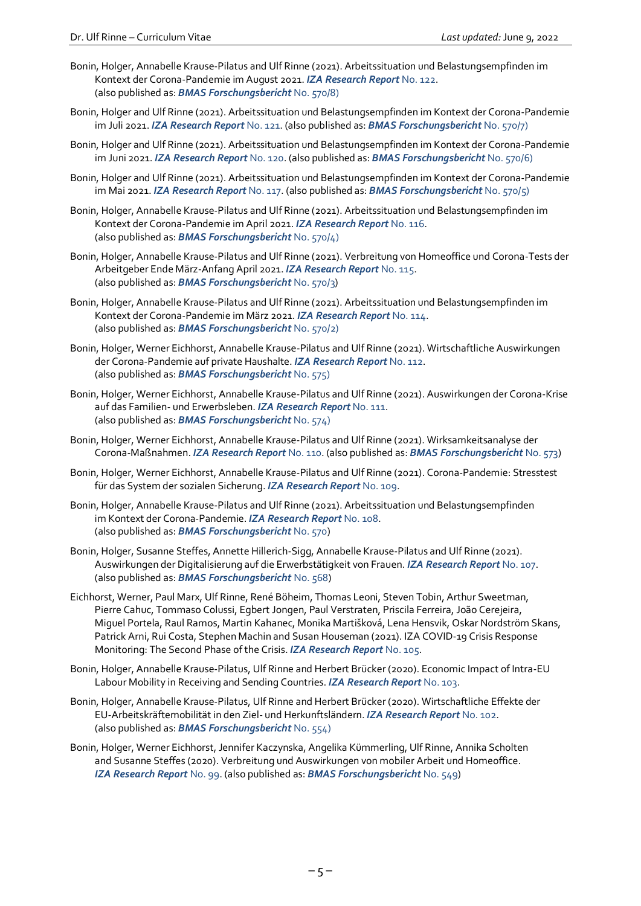- Bonin, Holger, Annabelle Krause-Pilatus and Ulf Rinne (2021). Arbeitssituation und Belastungsempfinden im Kontext der Corona-Pandemie im August 2021. *[IZA Research Report](http://ftp.iza.org/report_pdfs/iza_report_122.pdf)* No. 122. (also published as: *[BMAS Forschungsbericht](https://www.bmas.de/SharedDocs/Downloads/DE/Publikationen/Forschungsberichte/fb-570-8-arbeitssituation-belastungsempfinden-corona-pandemie-august-2021.pdf?__blob=publicationFile&v=2)* No. 570/8)
- Bonin, Holger and Ulf Rinne (2021). Arbeitssituation und Belastungsempfinden im Kontext der Corona-Pandemie im Juli 2021. *[IZA Research Report](http://ftp.iza.org/report_pdfs/iza_report_121.pdf)* No. 121. (also published as: *[BMAS Forschungsbericht](https://www.bmas.de/SharedDocs/Downloads/DE/Publikationen/Forschungsberichte/fb-570-7-arbeitssituation-belastungsempfinden-corona-pandemie-juli-2021.pdf?__blob=publicationFile&v=2)* No. 570/7)
- Bonin, Holger and Ulf Rinne (2021). Arbeitssituation und Belastungsempfinden im Kontext der Corona-Pandemie im Juni 2021. *[IZA Research Report](http://ftp.iza.org/report_pdfs/iza_report_120.pdf)* No. 120. (also published as: *[BMAS Forschungsbericht](https://www.bmas.de/SharedDocs/Downloads/DE/Publikationen/Forschungsberichte/fb-570-6-arbeitssituation-belastungsempfinden-corona-pandemie-juni-2021.pdf?__blob=publicationFile&v=2)* No. 570/6)
- Bonin, Holger and Ulf Rinne (2021). Arbeitssituation und Belastungsempfinden im Kontext der Corona-Pandemie im Mai 2021. *[IZA Research Report](http://ftp.iza.org/report_pdfs/iza_report_117.pdf)* No. 117. (also published as: *[BMAS Forschungsbericht](https://www.bmas.de/SharedDocs/Downloads/DE/Publikationen/Forschungsberichte/fb-570-5-arbeitssituation-belastungsempfinden-corona-pandemie-mai-2021.pdf?__blob=publicationFile&v=3)* No. 570/5)
- Bonin, Holger, Annabelle Krause-Pilatus and Ulf Rinne (2021). Arbeitssituation und Belastungsempfinden im Kontext der Corona-Pandemie im April 2021. *[IZA Research Report](http://ftp.iza.org/report_pdfs/iza_report_116.pdf)* No. 116. (also published as: *[BMAS Forschungsbericht](https://www.bmas.de/SharedDocs/Downloads/DE/Publikationen/Forschungsberichte/fb-570-4-arbeitssituation-belastungsempfinden-corona-pandemie-april-2021.pdf?__blob=publicationFile&v=3)* No. 570/4)
- Bonin, Holger, Annabelle Krause-Pilatus and Ulf Rinne (2021). Verbreitung von Homeoffice und Corona-Tests der Arbeitgeber Ende März-Anfang April 2021. *[IZA Research Report](http://ftp.iza.org/report_pdfs/iza_report_115.pdf)* No. 115. (also published as: *[BMAS Forschungsbericht](https://www.bmas.de/SharedDocs/Downloads/DE/Publikationen/Forschungsberichte/fb-570-3-verbreitung-homeoffice-corona-tests-ende-maerz-april-2021.pdf?__blob=publicationFile&v=3)* No. 570/3)
- Bonin, Holger, Annabelle Krause-Pilatus and Ulf Rinne (2021). Arbeitssituation und Belastungsempfinden im Kontext der Corona-Pandemie im März 2021. *[IZA Research Report](http://ftp.iza.org/report_pdfs/iza_report_114.pdf)* No. 114. (also published as: *[BMAS Forschungsbericht](https://www.bmas.de/SharedDocs/Downloads/DE/Publikationen/Forschungsberichte/fb-570-2-arbeitssituation-belastungsempfinden-corona-pandemie.pdf?__blob=publicationFile&v=2)* No. 570/2)
- Bonin, Holger, Werner Eichhorst, Annabelle Krause-Pilatus and Ulf Rinne (2021). Wirtschaftliche Auswirkungen der Corona-Pandemie auf private Haushalte. *[IZA Research Report](http://ftp.iza.org/report_pdfs/iza_report_112.pdf)* No. 112. (also published as: *[BMAS Forschungsbericht](https://www.bmas.de/SharedDocs/Downloads/DE/Publikationen/Forschungsberichte/fb-575-wirtschaftliche-auswirkungen-der-pandemie-auf-private-haushalte.pdf?__blob=publicationFile&v=1)* No. 575)
- Bonin, Holger, Werner Eichhorst, Annabelle Krause-Pilatus and Ulf Rinne (2021). Auswirkungen der Corona-Krise auf das Familien- und Erwerbsleben. *[IZA Research Report](http://ftp.iza.org/report_pdfs/iza_report_111.pdf)* No. 111. (also published as: *[BMAS Forschungsbericht](https://www.bmas.de/SharedDocs/Downloads/DE/Publikationen/Forschungsberichte/fb-574-auswirkungen-der-corona-krise-auf-familien-und-erwerbsleben.pdf?__blob=publicationFile&v=1)* No. 574)
- Bonin, Holger, Werner Eichhorst, Annabelle Krause-Pilatus and Ulf Rinne (2021). Wirksamkeitsanalyse der Corona-Maßnahmen. *[IZA Research Report](http://ftp.iza.org/report_pdfs/iza_report_110.pdf)* No. 110. (also published as: *[BMAS Forschungsbericht](https://www.bmas.de/SharedDocs/Downloads/DE/Publikationen/Forschungsberichte/fb-573-wirksamkeitsanalyse-der-corona-massnahmen.pdf?__blob=publicationFile&v=2)* No. 573)
- Bonin, Holger, Werner Eichhorst, Annabelle Krause-Pilatus and Ulf Rinne (2021). Corona-Pandemie: Stresstest für das System der sozialen Sicherung. *[IZA Research Report](http://ftp.iza.org/report_pdfs/iza_report_109.pdf)* No. 109.
- Bonin, Holger, Annabelle Krause-Pilatus and Ulf Rinne (2021). Arbeitssituation und Belastungsempfinden im Kontext der Corona-Pandemie. *[IZA Research Report](http://ftp.iza.org/report_pdfs/iza_report_108.pdf)* No. 108. (also published as: *[BMAS Forschungsbericht](https://www.bmas.de/SharedDocs/Downloads/DE/Publikationen/Forschungsberichte/fb-570-arbeitssituation-belastungsempfinden-corona-pandemie.pdf?__blob=publicationFile&v=1)* No. 570)
- Bonin, Holger, Susanne Steffes, Annette Hillerich-Sigg, Annabelle Krause-Pilatus and Ulf Rinne (2021). Auswirkungen der Digitalisierung auf die Erwerbstätigkeit von Frauen. *[IZA Research Report](http://ftp.iza.org/report_pdfs/iza_report_107.pdf)* No. 107. (also published as: *[BMAS Forschungsbericht](https://www.bmas.de/DE/Service/Publikationen/Forschungsberichte/fb-568-auswirkungen-digitalisierung-arbeitswelt-erwerbstaetigkeit-frauen.html)* No. 568)
- Eichhorst, Werner, Paul Marx, Ulf Rinne, René Böheim, Thomas Leoni, Steven Tobin, Arthur Sweetman, Pierre Cahuc, Tommaso Colussi, Egbert Jongen, Paul Verstraten, Priscila Ferreira, João Cerejeira, Miguel Portela, Raul Ramos, Martin Kahanec, Monika Martišková, Lena Hensvik, Oskar Nordström Skans, Patrick Arni, Rui Costa, Stephen Machin and Susan Houseman (2021). IZA COVID-19 Crisis Response Monitoring: The Second Phase of the Crisis. *[IZA Research Report](http://ftp.iza.org/report_pdfs/iza_report_105.pdf)* No. 105.
- Bonin, Holger, Annabelle Krause-Pilatus, Ulf Rinne and Herbert Brücker (2020). Economic Impact of Intra-EU Labour Mobility in Receiving and Sending Countries. *[IZA Research Report](http://ftp.iza.org/report_pdfs/iza_report_103.pdf)* No. 103.
- Bonin, Holger, Annabelle Krause-Pilatus, Ulf Rinne and Herbert Brücker (2020). Wirtschaftliche Effekte der EU-Arbeitskräftemobilität in den Ziel- und Herkunftsländern. *[IZA Research Report](http://ftp.iza.org/report_pdfs/iza_report_102.pdf)* No. 102. (also published as: *[BMAS Forschungsbericht](https://www.bmas.de/SharedDocs/Downloads/DE/PDF-Publikationen/Forschungsberichte/fb-554-wirtschaftliche-effekte-eu-arbeitskraeftemobilitaet.pdf?__blob=publicationFile&v=3)* No. 554)
- Bonin, Holger, Werner Eichhorst, Jennifer Kaczynska, Angelika Kümmerling, Ulf Rinne, Annika Scholten and Susanne Steffes (2020). Verbreitung und Auswirkungen von mobiler Arbeit und Homeoffice. *IZA [Research Report](http://ftp.iza.org/report_pdfs/iza_report_99.pdf)* No. 99. (also published as: *[BMAS Forschungsbericht](https://www.bmas.de/SharedDocs/Downloads/DE/Publikationen/Forschungsberichte/fb-549-pdf-verbreitung-auswirkung-mobiles-arbeiten.pdf?__blob=publicationFile&v=1)* No. 549)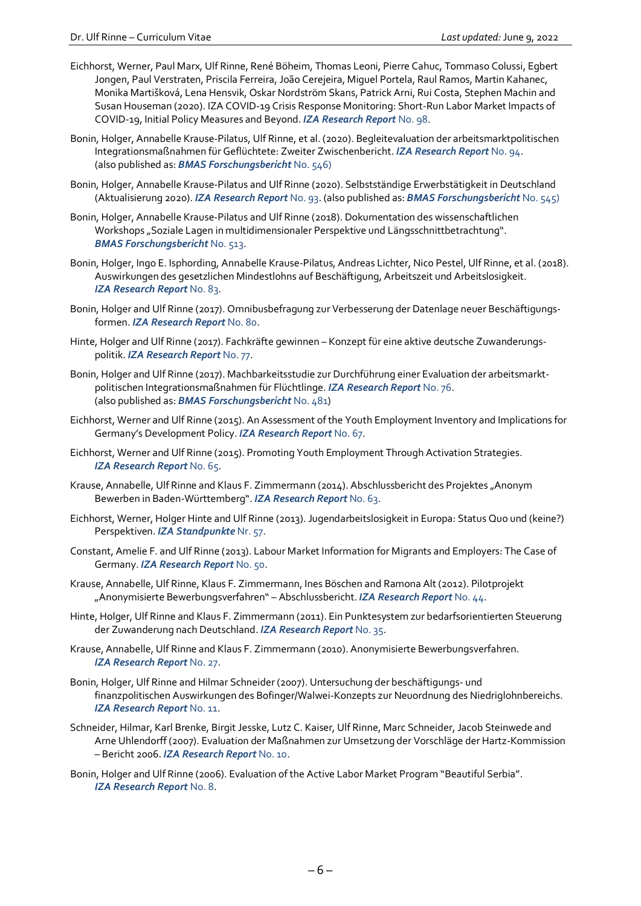- Eichhorst, Werner, Paul Marx, Ulf Rinne, René Böheim, Thomas Leoni, Pierre Cahuc, Tommaso Colussi, Egbert Jongen, Paul Verstraten, Priscila Ferreira, João Cerejeira, Miguel Portela, Raul Ramos, Martin Kahanec, Monika Martišková, Lena Hensvik, Oskar Nordström Skans, Patrick Arni, Rui Costa, Stephen Machin and Susan Houseman (2020). IZA COVID-19 Crisis Response Monitoring: Short-Run Labor Market Impacts of COVID-19, Initial Policy Measures and Beyond. *[IZA Research Report](http://ftp.iza.org/report_pdfs/iza_report_98.pdf)* No. 98.
- Bonin, Holger, Annabelle Krause-Pilatus, Ulf Rinne, et al. (2020). Begleitevaluation der arbeitsmarktpolitischen Integrationsmaßnahmen für Geflüchtete: Zweiter Zwischenbericht. *[IZA Research Report](http://ftp.iza.org/report_pdfs/iza_report_94.pdf)* No. 94. (also published as: *[BMAS Forschungsbericht](https://www.bmas.de/SharedDocs/Downloads/DE/PDF-Publikationen/Forschungsberichte/fb546-begleitevaluation-arbeitsmarktpolitische-integrationsmassnahmen.pdf;jsessionid=5B2603760C01DD3B4BC34127C0347364?__blob=publicationFile&v=3)* No. 546)
- Bonin, Holger, Annabelle Krause-Pilatus and Ulf Rinne (2020). Selbstständige Erwerbstätigkeit in Deutschland (Aktualisierung 2020). *[IZA Research Report](http://ftp.iza.org/report_pdfs/iza_report_93.pdf)* No. 93. (also published as: *[BMAS Forschungsbericht](https://www.bmas.de/SharedDocs/Downloads/DE/PDF-Publikationen/Forschungsberichte/fb545-selbststaendige-erwerbstaetigkeit-in-deutschland.pdf;jsessionid=7886A7173985A8E54AE95FF35A08324C?__blob=publicationFile&v=4)* No. 545)
- Bonin, Holger, Annabelle Krause-Pilatus and Ulf Rinne (2018). Dokumentation des wissenschaftlichen Workshops "Soziale Lagen in multidimensionaler Perspektive und Längsschnittbetrachtung". *BMAS [Forschungsbericht](https://www.bmas.de/DE/Service/Medien/Publikationen/Forschungsberichte/Forschungsberichte-Sozialpolitik/fb-513-soziale-lagen-in-multidimensionaler-perspektive-und-laengsschnittbetrachtung.html)* No. 513.
- Bonin, Holger, Ingo E. Isphording, Annabelle Krause-Pilatus, Andreas Lichter, Nico Pestel, Ulf Rinne, et al. (2018). Auswirkungen des gesetzlichen Mindestlohns auf Beschäftigung, Arbeitszeit und Arbeitslosigkeit. *[IZA Research Report](http://ftp.iza.org/report_pdfs/iza_report_83.pdf)* No. 83.
- Bonin, Holger and Ulf Rinne (2017). Omnibusbefragung zur Verbesserung der Datenlage neuer Beschäftigungsformen. *[IZA Research Report](http://ftp.iza.org/report_pdfs/iza_report_80.pdf)* No. 80.
- Hinte, Holger and Ulf Rinne (2017). Fachkräfte gewinnen Konzept für eine aktive deutsche Zuwanderungspolitik. *[IZA Research Report](http://ftp.iza.org/report_pdfs/iza_report_77.pdf)* No. 77.
- Bonin, Holger and Ulf Rinne (2017). Machbarkeitsstudie zur Durchführung einer Evaluation der arbeitsmarktpolitischen Integrationsmaßnahmen für Flüchtlinge. *[IZA Research Report](http://ftp.iza.org/report_pdfs/iza_report_76.pdf)* No. 76. (also published as: *[BMAS Forschungsbericht](http://www.bmas.de/DE/Service/Medien/Publikationen/Forschungsberichte/Forschungsberichte-Arbeitsmarkt/fb-481-machbarkeitsstudie.html)* No. 481)
- Eichhorst, Werner and Ulf Rinne (2015). An Assessment of the Youth Employment Inventory and Implications for Germany's Development Policy. *[IZA Research Report](http://ftp.iza.org/report_pdfs/iza_report_67.pdf)* No. 67.
- Eichhorst, Werner and Ulf Rinne (2015). Promoting Youth Employment Through Activation Strategies. *IZA [Research Report](http://ftp.iza.org/report_pdfs/iza_report_65.pdf)* No. 65.
- Krause, Annabelle, Ulf Rinne and Klaus F. Zimmermann (2014). Abschlussbericht des Projektes "Anonym Bewerben in Baden-Württemberg". *[IZA Research Report](http://ftp.iza.org/report_pdfs/iza_report_63.pdf)* No. 63.
- Eichhorst, Werner, Holger Hinte and Ulf Rinne (2013). Jugendarbeitslosigkeit in Europa: Status Quo und (keine?) Perspektiven. *[IZA Standpunkte](http://ftp.iza.org/sp57.pdf)* Nr. 57.
- Constant, Amelie F. and Ulf Rinne (2013). Labour Market Information for Migrants and Employers: The Case of Germany. *[IZA Research Report](http://ftp.iza.org/report_pdfs/iza_report_50.pdf)* No. 50.
- Krause, Annabelle, Ulf Rinne, Klaus F. Zimmermann, Ines Böschen and Ramona Alt (2012). Pilotprojekt "Anonymisierte Bewerbungsverfahren" – Abschlussbericht. *[IZA Research Report](http://ftp.iza.org/report_pdfs/iza_report_44.pdf)* No. 44.
- Hinte, Holger, Ulf Rinne and Klaus F. Zimmermann (2011). Ein Punktesystem zur bedarfsorientierten Steuerung der Zuwanderung nach Deutschland. *[IZA Research Report](http://ftp.iza.org/report_pdfs/iza_report_35.pdf)* No. 35.
- Krause, Annabelle, Ulf Rinne and Klaus F. Zimmermann (2010). Anonymisierte Bewerbungsverfahren. *IZA [Research Report](http://ftp.iza.org/report_pdfs/iza_report_27.pdf)* No. 27.
- Bonin, Holger, Ulf Rinne and Hilmar Schneider (2007). Untersuchung der beschäftigungs- und finanzpolitischen Auswirkungen des Bofinger/Walwei-Konzepts zur Neuordnung des Niedriglohnbereichs. *[IZA Research Report](http://ftp.iza.org/report_pdfs/iza_report_11.pdf)* No. 11.
- Schneider, Hilmar, Karl Brenke, Birgit Jesske, Lutz C. Kaiser, Ulf Rinne, Marc Schneider, Jacob Steinwede and Arne Uhlendorff (2007). Evaluation der Maßnahmen zur Umsetzung der Vorschläge der Hartz-Kommission – Bericht 2006. *[IZA Research Report](http://ftp.iza.org/report_pdfs/iza_report_10.pdf)* No. 10.
- Bonin, Holger and Ulf Rinne (2006). Evaluation of the Active Labor Market Program "Beautiful Serbia". *IZA [Research Report](http://ftp.iza.org/report_pdfs/iza_report_08.pdf)* No. 8.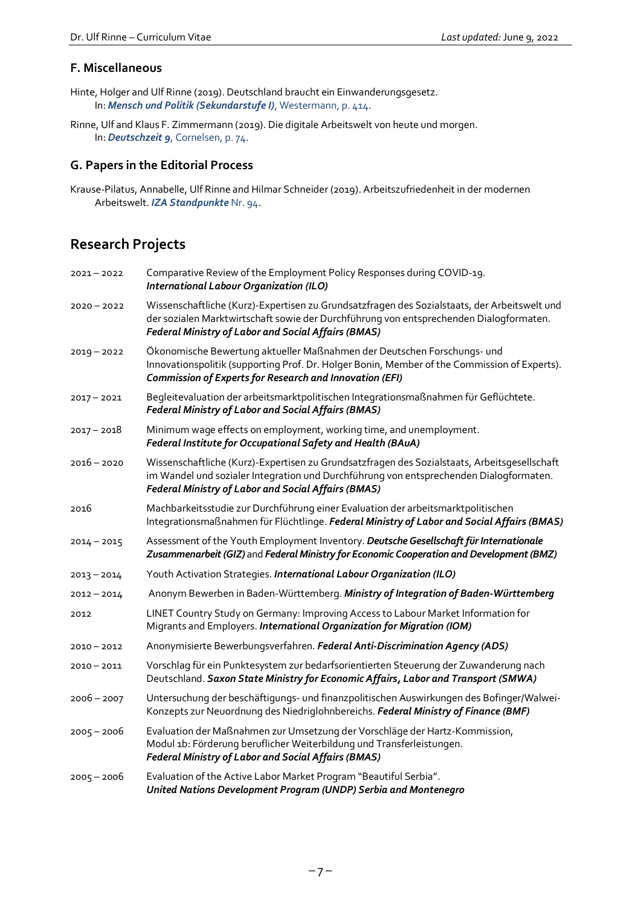#### **F. Miscellaneous**

- Hinte, Holger and Ulf Rinne (2019). Deutschland braucht ein Einwanderungsgesetz. In: *[Mensch und Politik \(Sekundarstufe I\)](https://www.westermann.de/reihe/MEPO19S1HE/Mensch-und-Politik-SI-Ausgabe-2019-fuer-Hessen)*, Westermann, p. 414.
- Rinne, Ulf and Klaus F. Zimmermann (2019). Die digitale Arbeitswelt von heute und morgen. In: *Deutschzeit 9*[, Cornelsen, p. 74.](https://www.cornelsen.de/produkte/deutschzeit-schuelerbuch-9-schuljahr-9783060631759)

#### **G. Papers in the Editorial Process**

Krause-Pilatus, Annabelle, Ulf Rinne and Hilmar Schneider (2019). Arbeitszufriedenheit in der modernen Arbeitswelt. *[IZA Standpunkte](http://ftp.iza.org/sp94.pdf)* Nr. 94.

## **Research Projects**

| 2021-2022     | Comparative Review of the Employment Policy Responses during COVID-19.<br>International Labour Organization (ILO)                                                                                                                             |
|---------------|-----------------------------------------------------------------------------------------------------------------------------------------------------------------------------------------------------------------------------------------------|
| $2020 - 2022$ | Wissenschaftliche (Kurz)-Expertisen zu Grundsatzfragen des Sozialstaats, der Arbeitswelt und<br>der sozialen Marktwirtschaft sowie der Durchführung von entsprechenden Dialogformaten.<br>Federal Ministry of Labor and Social Affairs (BMAS) |
| $2019 - 2022$ | Ökonomische Bewertung aktueller Maßnahmen der Deutschen Forschungs- und<br>Innovationspolitik (supporting Prof. Dr. Holger Bonin, Member of the Commission of Experts).<br><b>Commission of Experts for Research and Innovation (EFI)</b>     |
| $2017 - 2021$ | Begleitevaluation der arbeitsmarktpolitischen Integrationsmaßnahmen für Geflüchtete.<br><b>Federal Ministry of Labor and Social Affairs (BMAS)</b>                                                                                            |
| $2017 - 2018$ | Minimum wage effects on employment, working time, and unemployment.<br>Federal Institute for Occupational Safety and Health (BAuA)                                                                                                            |
| $2016 - 2020$ | Wissenschaftliche (Kurz)-Expertisen zu Grundsatzfragen des Sozialstaats, Arbeitsgesellschaft<br>im Wandel und sozialer Integration und Durchführung von entsprechenden Dialogformaten.<br>Federal Ministry of Labor and Social Affairs (BMAS) |
| 2016          | Machbarkeitsstudie zur Durchführung einer Evaluation der arbeitsmarktpolitischen<br>Integrationsmaßnahmen für Flüchtlinge. Federal Ministry of Labor and Social Affairs (BMAS)                                                                |
| $2014 - 2015$ | Assessment of the Youth Employment Inventory. Deutsche Gesellschaft für Internationale<br>Zusammenarbeit (GIZ) and Federal Ministry for Economic Cooperation and Development (BMZ)                                                            |
| $2013 - 2014$ | Youth Activation Strategies. International Labour Organization (ILO)                                                                                                                                                                          |
| $2012 - 2014$ | Anonym Bewerben in Baden-Württemberg. Ministry of Integration of Baden-Württemberg                                                                                                                                                            |
| 2012          | LINET Country Study on Germany: Improving Access to Labour Market Information for<br>Migrants and Employers. International Organization for Migration (IOM)                                                                                   |
| $2010 - 2012$ | Anonymisierte Bewerbungsverfahren. Federal Anti-Discrimination Agency (ADS)                                                                                                                                                                   |
| $2010 - 2011$ | Vorschlag für ein Punktesystem zur bedarfsorientierten Steuerung der Zuwanderung nach<br>Deutschland. Saxon State Ministry for Economic Affairs, Labor and Transport (SMWA)                                                                   |
| $2006 - 2007$ | Untersuchung der beschäftigungs- und finanzpolitischen Auswirkungen des Bofinger/Walwei-<br>Konzepts zur Neuordnung des Niedriglohnbereichs. Federal Ministry of Finance (BMF)                                                                |
| $2005 - 2006$ | Evaluation der Maßnahmen zur Umsetzung der Vorschläge der Hartz-Kommission,<br>Modul 1b: Förderung beruflicher Weiterbildung und Transferleistungen.<br>Federal Ministry of Labor and Social Affairs (BMAS)                                   |
| $2005 - 2006$ | Evaluation of the Active Labor Market Program "Beautiful Serbia".<br>United Nations Development Program (UNDP) Serbia and Montenegro                                                                                                          |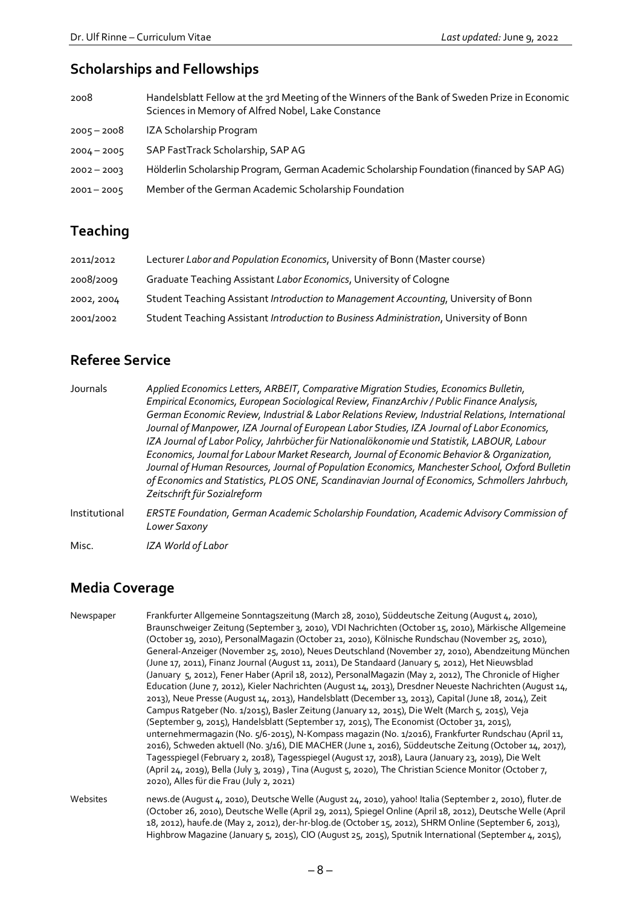## **Scholarships and Fellowships**

| 2008          | Handelsblatt Fellow at the 3rd Meeting of the Winners of the Bank of Sweden Prize in Economic<br>Sciences in Memory of Alfred Nobel, Lake Constance |
|---------------|-----------------------------------------------------------------------------------------------------------------------------------------------------|
| $2005 - 2008$ | IZA Scholarship Program                                                                                                                             |
| $2004 - 2005$ | SAP FastTrack Scholarship, SAP AG                                                                                                                   |
| $2002 - 2003$ | Hölderlin Scholarship Program, German Academic Scholarship Foundation (financed by SAP AG)                                                          |
| $2001 - 2005$ | Member of the German Academic Scholarship Foundation                                                                                                |

## **Teaching**

| 2011/2012  | Lecturer Labor and Population Economics, University of Bonn (Master course)            |
|------------|----------------------------------------------------------------------------------------|
| 2008/2009  | Graduate Teaching Assistant <i>Labor Economics</i> , University of Cologne             |
| 2002, 2004 | Student Teaching Assistant Introduction to Management Accounting, University of Bonn   |
| 2001/2002  | Student Teaching Assistant Introduction to Business Administration, University of Bonn |

## **Referee Service**

| Journals      | Applied Economics Letters, ARBEIT, Comparative Migration Studies, Economics Bulletin,<br>Empirical Economics, European Sociological Review, FinanzArchiv / Public Finance Analysis,<br>German Economic Review, Industrial & Labor Relations Review, Industrial Relations, International<br>Journal of Manpower, IZA Journal of European Labor Studies, IZA Journal of Labor Economics,<br>IZA Journal of Labor Policy, Jahrbücher für Nationalökonomie und Statistik, LABOUR, Labour |
|---------------|--------------------------------------------------------------------------------------------------------------------------------------------------------------------------------------------------------------------------------------------------------------------------------------------------------------------------------------------------------------------------------------------------------------------------------------------------------------------------------------|
|               | Economics, Journal for Labour Market Research, Journal of Economic Behavior & Organization,<br>Journal of Human Resources, Journal of Population Economics, Manchester School, Oxford Bulletin<br>of Economics and Statistics, PLOS ONE, Scandinavian Journal of Economics, Schmollers Jahrbuch,<br>Zeitschrift für Sozialreform                                                                                                                                                     |
| Institutional | ERSTE Foundation, German Academic Scholarship Foundation, Academic Advisory Commission of<br>Lower Saxony                                                                                                                                                                                                                                                                                                                                                                            |
| Misc.         | IZA World of Labor                                                                                                                                                                                                                                                                                                                                                                                                                                                                   |

## **Media Coverage**

| Newspaper | Frankfurter Allgemeine Sonntagszeitung (March 28, 2010), Süddeutsche Zeitung (August 4, 2010),<br>Braunschweiger Zeitung (September 3, 2010), VDI Nachrichten (October 15, 2010), Märkische Allgemeine<br>(October 19, 2010), PersonalMagazin (October 21, 2010), Kölnische Rundschau (November 25, 2010),<br>General-Anzeiger (November 25, 2010), Neues Deutschland (November 27, 2010), Abendzeitung München<br>(June 17, 2011), Finanz Journal (August 11, 2011), De Standaard (January 5, 2012), Het Nieuwsblad<br>(January 5, 2012), Fener Haber (April 18, 2012), PersonalMagazin (May 2, 2012), The Chronicle of Higher<br>Education (June 7, 2012), Kieler Nachrichten (August 14, 2013), Dresdner Neueste Nachrichten (August 14,<br>2013), Neue Presse (August 14, 2013), Handelsblatt (December 13, 2013), Capital (June 18, 2014), Zeit<br>Campus Ratgeber (No. 1/2015), Basler Zeitung (January 12, 2015), Die Welt (March 5, 2015), Veja<br>(September 9, 2015), Handelsblatt (September 17, 2015), The Economist (October 31, 2015),<br>unternehmermagazin (No. 5/6-2015), N-Kompass magazin (No. 1/2016), Frankfurter Rundschau (April 11,<br>2016), Schweden aktuell (No. 3/16), DIE MACHER (June 1, 2016), Süddeutsche Zeitung (October 14, 2017),<br>Tagesspiegel (February 2, 2018), Tagesspiegel (August 17, 2018), Laura (January 23, 2019), Die Welt<br>(April 24, 2019), Bella (July 3, 2019), Tina (August 5, 2020), The Christian Science Monitor (October 7,<br>2020), Alles für die Frau (July 2, 2021) |
|-----------|--------------------------------------------------------------------------------------------------------------------------------------------------------------------------------------------------------------------------------------------------------------------------------------------------------------------------------------------------------------------------------------------------------------------------------------------------------------------------------------------------------------------------------------------------------------------------------------------------------------------------------------------------------------------------------------------------------------------------------------------------------------------------------------------------------------------------------------------------------------------------------------------------------------------------------------------------------------------------------------------------------------------------------------------------------------------------------------------------------------------------------------------------------------------------------------------------------------------------------------------------------------------------------------------------------------------------------------------------------------------------------------------------------------------------------------------------------------------------------------------------------------------------------------|
| Websites  | news.de (August 4, 2010), Deutsche Welle (August 24, 2010), yahoo! Italia (September 2, 2010), fluter.de<br>(October 26, 2010), Deutsche Welle (April 29, 2011), Spiegel Online (April 18, 2012), Deutsche Welle (April<br>18, 2012), haufe.de (May 2, 2012), der-hr-blog.de (October 15, 2012), SHRM Online (September 6, 2013),                                                                                                                                                                                                                                                                                                                                                                                                                                                                                                                                                                                                                                                                                                                                                                                                                                                                                                                                                                                                                                                                                                                                                                                                    |

Highbrow Magazine (January 5, 2015), CIO (August 25, 2015), Sputnik International (September 4, 2015),